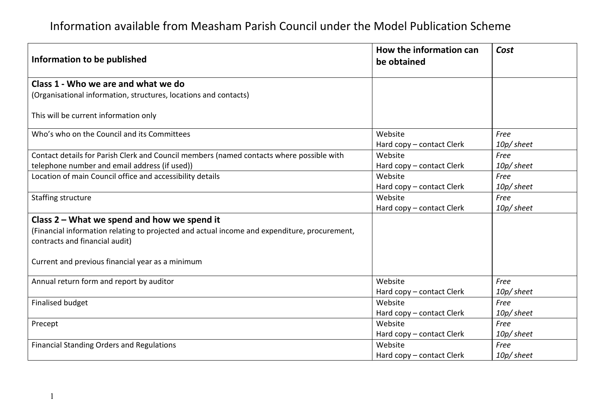| Information to be published                                                                  | How the information can<br>be obtained | Cost       |
|----------------------------------------------------------------------------------------------|----------------------------------------|------------|
| Class 1 - Who we are and what we do                                                          |                                        |            |
| (Organisational information, structures, locations and contacts)                             |                                        |            |
| This will be current information only                                                        |                                        |            |
| Who's who on the Council and its Committees                                                  | Website                                | Free       |
|                                                                                              | Hard copy - contact Clerk              | 10p/ sheet |
| Contact details for Parish Clerk and Council members (named contacts where possible with     | Website                                | Free       |
| telephone number and email address (if used))                                                | Hard copy - contact Clerk              | 10p/sheet  |
| Location of main Council office and accessibility details                                    | Website                                | Free       |
|                                                                                              | Hard copy - contact Clerk              | 10p/ sheet |
| Staffing structure                                                                           | Website                                | Free       |
|                                                                                              | Hard copy - contact Clerk              | 10p/ sheet |
| Class 2 - What we spend and how we spend it                                                  |                                        |            |
| (Financial information relating to projected and actual income and expenditure, procurement, |                                        |            |
| contracts and financial audit)                                                               |                                        |            |
|                                                                                              |                                        |            |
| Current and previous financial year as a minimum                                             |                                        |            |
| Annual return form and report by auditor                                                     | Website                                | Free       |
|                                                                                              | Hard copy - contact Clerk              | 10p/sheet  |
| <b>Finalised budget</b>                                                                      | Website                                | Free       |
|                                                                                              | Hard copy - contact Clerk              | 10p/ sheet |
| Precept                                                                                      | Website                                | Free       |
|                                                                                              | Hard copy - contact Clerk              | 10p/sheet  |
| <b>Financial Standing Orders and Regulations</b>                                             | Website                                | Free       |
|                                                                                              | Hard copy – contact Clerk              | 10p/sheet  |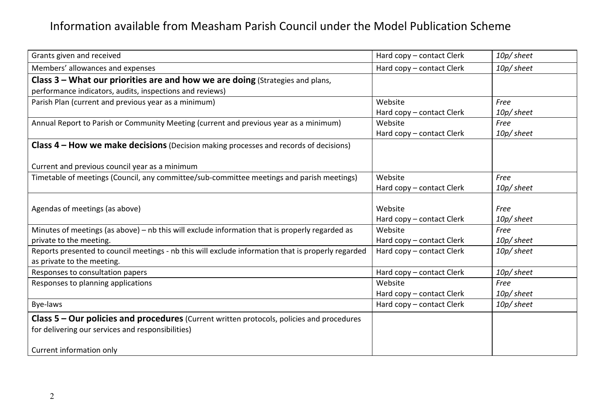| Grants given and received                                                                          | Hard copy - contact Clerk<br>10p/sheet |            |
|----------------------------------------------------------------------------------------------------|----------------------------------------|------------|
| Members' allowances and expenses                                                                   | Hard copy - contact Clerk              | 10p/ sheet |
| Class $3$ – What our priorities are and how we are doing (Strategies and plans,                    |                                        |            |
| performance indicators, audits, inspections and reviews)                                           |                                        |            |
| Parish Plan (current and previous year as a minimum)                                               | Website                                | Free       |
|                                                                                                    | Hard copy - contact Clerk              | 10p/ sheet |
| Annual Report to Parish or Community Meeting (current and previous year as a minimum)              | Website                                | Free       |
|                                                                                                    | Hard copy - contact Clerk              | 10p/ sheet |
| <b>Class 4 – How we make decisions</b> (Decision making processes and records of decisions)        |                                        |            |
|                                                                                                    |                                        |            |
| Current and previous council year as a minimum                                                     |                                        |            |
| Timetable of meetings (Council, any committee/sub-committee meetings and parish meetings)          | Website                                | Free       |
|                                                                                                    | Hard copy - contact Clerk              | 10p/ sheet |
|                                                                                                    |                                        |            |
| Agendas of meetings (as above)                                                                     | Website                                | Free       |
|                                                                                                    | Hard copy - contact Clerk              | 10p/sheet  |
| Minutes of meetings (as above) - nb this will exclude information that is properly regarded as     | Website                                | Free       |
| private to the meeting.                                                                            | Hard copy - contact Clerk              | 10p/sheet  |
| Reports presented to council meetings - nb this will exclude information that is properly regarded | Hard copy - contact Clerk              | 10p/sheet  |
| as private to the meeting.                                                                         |                                        |            |
| Responses to consultation papers                                                                   | Hard copy - contact Clerk              | 10p/ sheet |
| Responses to planning applications                                                                 | Website                                | Free       |
|                                                                                                    | Hard copy - contact Clerk              | 10p/sheet  |
| Bye-laws                                                                                           | Hard copy - contact Clerk              | 10p/ sheet |
| Class $5$ – Our policies and procedures (Current written protocols, policies and procedures        |                                        |            |
| for delivering our services and responsibilities)                                                  |                                        |            |
|                                                                                                    |                                        |            |
|                                                                                                    |                                        |            |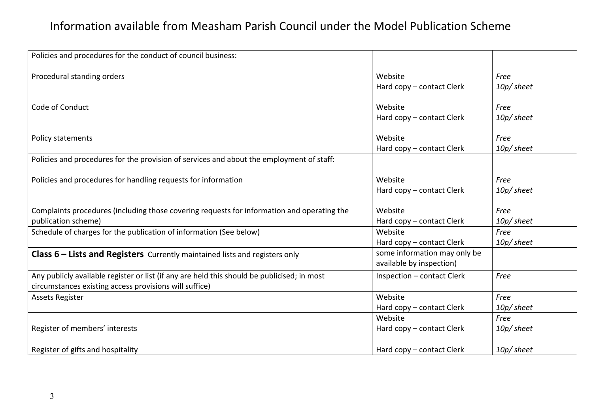| Policies and procedures for the conduct of council business:                                    |                              |            |
|-------------------------------------------------------------------------------------------------|------------------------------|------------|
|                                                                                                 |                              |            |
| Procedural standing orders                                                                      | Website                      | Free       |
|                                                                                                 | Hard copy – contact Clerk    | 10p/sheet  |
|                                                                                                 |                              |            |
| Code of Conduct                                                                                 | Website                      | Free       |
|                                                                                                 | Hard copy - contact Clerk    | 10p/sheet  |
| Policy statements                                                                               | Website                      | Free       |
|                                                                                                 | Hard copy – contact Clerk    | 10p/sheet  |
| Policies and procedures for the provision of services and about the employment of staff:        |                              |            |
|                                                                                                 |                              |            |
| Policies and procedures for handling requests for information                                   | Website                      | Free       |
|                                                                                                 | Hard copy - contact Clerk    | 10p/ sheet |
|                                                                                                 |                              |            |
| Complaints procedures (including those covering requests for information and operating the      | Website                      | Free       |
| publication scheme)                                                                             | Hard copy - contact Clerk    | 10p/sheet  |
| Schedule of charges for the publication of information (See below)                              | Website                      | Free       |
|                                                                                                 | Hard copy – contact Clerk    | 10p/sheet  |
| <b>Class <math>6</math> – Lists and Registers</b> Currently maintained lists and registers only | some information may only be |            |
|                                                                                                 | available by inspection)     |            |
| Any publicly available register or list (if any are held this should be publicised; in most     | Inspection - contact Clerk   | Free       |
| circumstances existing access provisions will suffice)                                          |                              |            |
| <b>Assets Register</b>                                                                          | Website                      | Free       |
|                                                                                                 | Hard copy – contact Clerk    | 10p/ sheet |
|                                                                                                 | Website                      | Free       |
| Register of members' interests                                                                  | Hard copy - contact Clerk    | 10p/sheet  |
|                                                                                                 |                              |            |
| Register of gifts and hospitality                                                               | Hard copy – contact Clerk    | 10p/ sheet |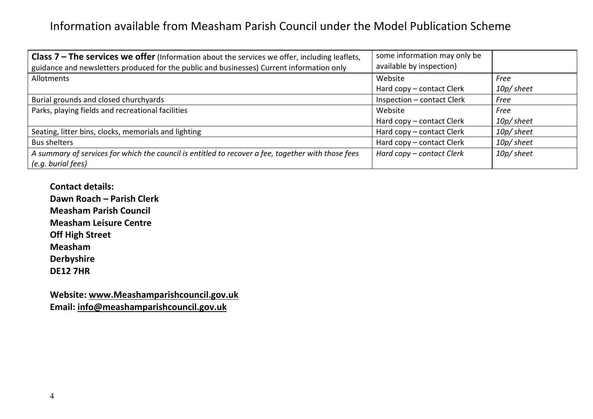| <b>Class 7 – The services we offer</b> (Information about the services we offer, including leaflets,<br>guidance and newsletters produced for the public and businesses) Current information only | some information may only be<br>available by inspection) |           |
|---------------------------------------------------------------------------------------------------------------------------------------------------------------------------------------------------|----------------------------------------------------------|-----------|
| Allotments                                                                                                                                                                                        | Website                                                  | Free      |
|                                                                                                                                                                                                   | Hard copy – contact Clerk                                | 10p/sheet |
| Burial grounds and closed churchyards                                                                                                                                                             | Inspection - contact Clerk                               | Free      |
| Parks, playing fields and recreational facilities                                                                                                                                                 | Website                                                  |           |
|                                                                                                                                                                                                   | Hard copy – contact Clerk                                | 10p/sheet |
| Seating, litter bins, clocks, memorials and lighting                                                                                                                                              | Hard copy – contact Clerk                                | 10p/sheet |
| <b>Bus shelters</b>                                                                                                                                                                               | Hard copy - contact Clerk                                | 10p/sheet |
| A summary of services for which the council is entitled to recover a fee, together with those fees<br>(e.g. burial fees)                                                                          | Hard copy – contact Clerk                                | 10p/sheet |

**Contact details: Dawn Roach – Parish Clerk Measham Parish Council Measham Leisure Centre Off High Street Measham Derbyshire DE12 7HR** 

**Website: www.Meashamparishcouncil.gov.uk Email: info@meashamparishcouncil.gov.uk**